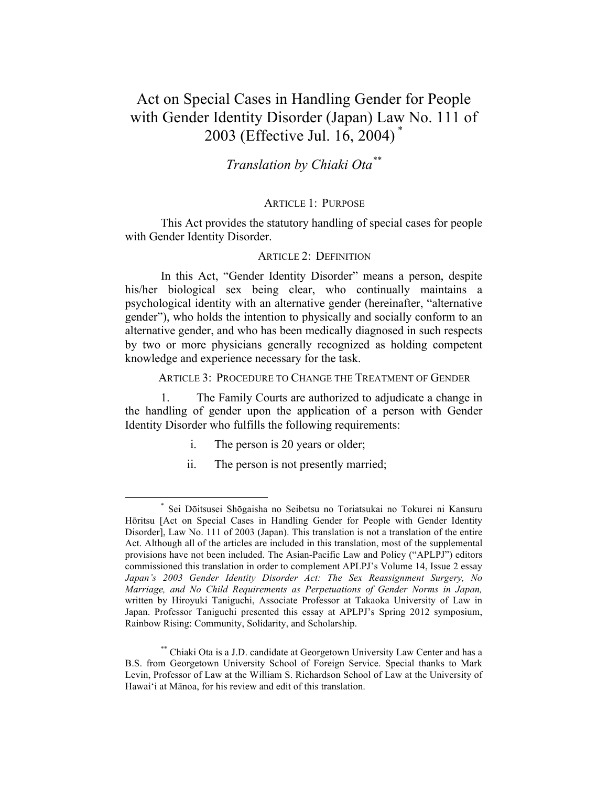# Act on Special Cases in Handling Gender for People with Gender Identity Disorder (Japan) Law No. 111 of 2003 (Effective Jul. 16, 2004) \*

## *Translation by Chiaki Ota\*\**

### ARTICLE 1: PURPOSE

This Act provides the statutory handling of special cases for people with Gender Identity Disorder.

#### ARTICLE 2: DEFINITION

In this Act, "Gender Identity Disorder" means a person, despite his/her biological sex being clear, who continually maintains a psychological identity with an alternative gender (hereinafter, "alternative gender"), who holds the intention to physically and socially conform to an alternative gender, and who has been medically diagnosed in such respects by two or more physicians generally recognized as holding competent knowledge and experience necessary for the task.

ARTICLE 3: PROCEDURE TO CHANGE THE TREATMENT OF GENDER

1. The Family Courts are authorized to adjudicate a change in the handling of gender upon the application of a person with Gender Identity Disorder who fulfills the following requirements:

- i. The person is 20 years or older;
- ii. The person is not presently married;

 <sup>\*</sup> Sei Dōitsusei Shōgaisha no Seibetsu no Toriatsukai no Tokurei ni Kansuru Hōritsu [Act on Special Cases in Handling Gender for People with Gender Identity Disorder], Law No. 111 of 2003 (Japan). This translation is not a translation of the entire Act. Although all of the articles are included in this translation, most of the supplemental provisions have not been included. The Asian-Pacific Law and Policy ("APLPJ") editors commissioned this translation in order to complement APLPJ's Volume 14, Issue 2 essay *Japan's 2003 Gender Identity Disorder Act: The Sex Reassignment Surgery, No Marriage, and No Child Requirements as Perpetuations of Gender Norms in Japan,*  written by Hiroyuki Taniguchi, Associate Professor at Takaoka University of Law in Japan. Professor Taniguchi presented this essay at APLPJ's Spring 2012 symposium, Rainbow Rising: Community, Solidarity, and Scholarship.

<sup>\*\*</sup> Chiaki Ota is a J.D. candidate at Georgetown University Law Center and has a B.S. from Georgetown University School of Foreign Service. Special thanks to Mark Levin, Professor of Law at the William S. Richardson School of Law at the University of Hawai'i at Mānoa, for his review and edit of this translation.